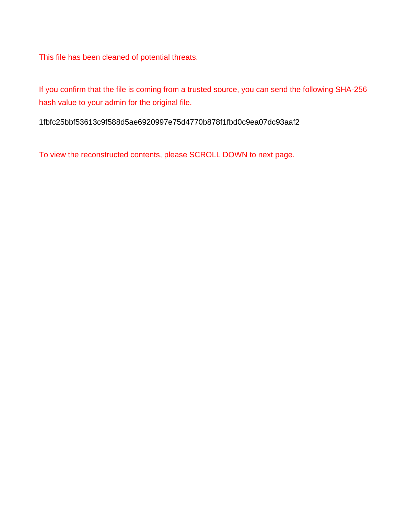This file has been cleaned of potential threats.

If you confirm that the file is coming from a trusted source, you can send the following SHA-256 hash value to your admin for the original file.

1fbfc25bbf53613c9f588d5ae6920997e75d4770b878f1fbd0c9ea07dc93aaf2

To view the reconstructed contents, please SCROLL DOWN to next page.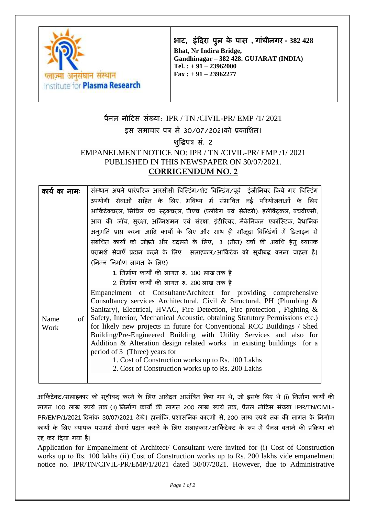

भाि**,** इंटिरा पुल के पास **,** गांधीनगर **- 382 428**

**Bhat, Nr Indira Bridge, Gandhinagar – 382 428. GUJARAT (INDIA) Tel. : + 91 – 23962000 Fax : + 91 – 23962277**

## पैनल नोटिस संख्या: IPR / TN /CIVIL-PR/ EMP /1/ 2021 इस समाचार पत्र में 30/07/2021को प्रकाशित। िुद्धिपत्र सं. 2 EMPANELMENT NOTICE NO: IPR / TN /CIVIL-PR/ EMP /1/ 2021 PUBLISHED IN THIS NEWSPAPER ON 30/07/2021. **CORRIGENDUM NO. 2**

| <u>काये का नाम:</u> | संस्थान अपने पारंपरिक आरसीसी बिल्डिंग/शेड बिल्डिंग/पूर्व  इंजीनियर किये गए बिल्डिंग                                                                                                                                                                                                                                                                                                                                                                                                                                                                                                                                                                                             |
|---------------------|---------------------------------------------------------------------------------------------------------------------------------------------------------------------------------------------------------------------------------------------------------------------------------------------------------------------------------------------------------------------------------------------------------------------------------------------------------------------------------------------------------------------------------------------------------------------------------------------------------------------------------------------------------------------------------|
|                     | उपयोगी सेवाओं सहित के लिए, भविष्य में संभावित नई परियोजनाओं के लिए                                                                                                                                                                                                                                                                                                                                                                                                                                                                                                                                                                                                              |
|                     | आर्किटेक्चरल, सिविल एंव स्ट्रक्चरल, पीएच (प्लंबिंग एवं सेनेटरी), इलेक्ट्रिकल, एचवीएसी,                                                                                                                                                                                                                                                                                                                                                                                                                                                                                                                                                                                          |
|                     | आग की जाँच, सुरक्षा, अग्निशमन एवं संरक्षा, इंटीरियर, मैकेनिकल एकॉस्टिक, वैधानिक                                                                                                                                                                                                                                                                                                                                                                                                                                                                                                                                                                                                 |
|                     | अनुमति प्राप्त करना आदि कार्यों के लिए और साथ ही मौजूदा बिल्डिंगों में डिजाइन से                                                                                                                                                                                                                                                                                                                                                                                                                                                                                                                                                                                                |
|                     | संबंधित कार्यों को जोड़ने और बदलने के लिए, 3 (तीन) वर्षों की अवधि हेतु व्यापक                                                                                                                                                                                                                                                                                                                                                                                                                                                                                                                                                                                                   |
|                     | परामर्श सेवाएँ प्रदान करने के लिए सलाहकार/आर्किटेक को सूचीबद्ध करना चाहता है।                                                                                                                                                                                                                                                                                                                                                                                                                                                                                                                                                                                                   |
|                     | (निम्न निर्माण लागत के लिए)                                                                                                                                                                                                                                                                                                                                                                                                                                                                                                                                                                                                                                                     |
|                     | 1. निर्माण कार्यों की लागत रु. 100 लाख तक है                                                                                                                                                                                                                                                                                                                                                                                                                                                                                                                                                                                                                                    |
|                     | 2. निर्माण कार्यों की लागत रु. 200 लाख तक है                                                                                                                                                                                                                                                                                                                                                                                                                                                                                                                                                                                                                                    |
| of<br>Name<br>Work  | Empanelment of Consultant/Architect for providing comprehensive<br>Consultancy services Architectural, Civil & Structural, PH (Plumbing &<br>Sanitary), Electrical, HVAC, Fire Detection, Fire protection, Fighting $\&$<br>Safety, Interior, Mechanical Acoustic, obtaining Statutory Permissions etc.)<br>for likely new projects in future for Conventional RCC Buildings / Shed<br>Building/Pre-Engineered Building with Utility Services and also for<br>Addition & Alteration design related works in existing buildings for a<br>period of 3 (Three) years for<br>1. Cost of Construction works up to Rs. 100 Lakhs<br>2. Cost of Construction works up to Rs. 200 Lakhs |

आर्किटेक्ट/सलाहकार को सूचीबद्ध करने के लिए आवेदन आमंत्रित किए गए थे, जो इसके लिए थे (i) निर्माण कार्यों की लागत 100 लाख रुपये तक (ii) शनमाय कायों की लागत 200 लाख रुपये तक, पैनल नोटिस संख्या IPR/TN/CIVIL-PR/EMP/1/2021 दिनांक 30/07/2021 देखें। हालांकि, प्रशासनिक कारणों से, 200 लाख रुपये तक की लागत के निर्माण कार्यों के लिए व्यापक परामर्श सेवाएं प्रदान करने के लिए सलाहकार/आर्किटेक्ट के रूप में पैनल बनाने की प्रक्रिया को रद्द कर दिया गया है।

Application for Empanelment of Architect/ Consultant were invited for (i) Cost of Construction works up to Rs. 100 lakhs (ii) Cost of Construction works up to Rs. 200 lakhs vide empanelment notice no. IPR/TN/CIVIL-PR/EMP/1/2021 dated 30/07/2021. However, due to Administrative